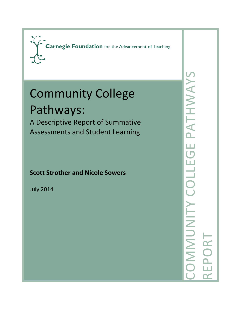

# Community College

## Pathways:

A Descriptive Report of Summative Assessments and Student Learning

### **Scott Strother and Nicole Sowers**

July 2014

COMMUNITY COLLEGE PATHWAYS COMMUNITY COLLEGE PATHWAYS REPORT **EPORT**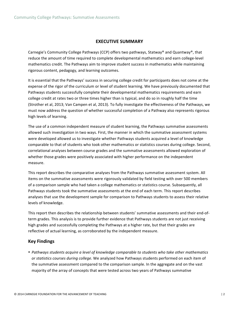#### **EXECUTIVE SUMMARY**

Carnegie's Community College Pathways (CCP) offers two pathways, Statway® and Quantway®, that reduce the amount of time required to complete developmental mathematics and earn college-level mathematics credit. The Pathways aim to improve student success in mathematics while maintaining rigorous content, pedagogy, and learning outcomes.

It is essential that the Pathways' success in securing college credit for participants does not come at the expense of the rigor of the curriculum or level of student learning. We have previously documented that Pathways students successfully complete their developmental mathematics requirements and earn college credit at rates two or three times higher than is typical, and do so in roughly half the time (Strother et al, 2013; Van Campen et al, 2013). To fully investigate the effectiveness of the Pathways, we must now address the question of whether successful completion of a Pathway also represents rigorous high levels of learning.

The use of a common independent measure of student learning, the Pathways summative assessments allowed such investigation in two ways. First, the manner in which the summative assessment systems were developed allowed us to investigate whether Pathways students acquired a level of knowledge comparable to that of students who took other mathematics or statistics courses during college. Second, correlational analyses between course grades and the summative assessments allowed exploration of whether those grades were positively associated with higher performance on the independent measure.

This report describes the comparative analyses from the Pathways summative assessment system. All items on the summative assessments were rigorously validated by field testing with over 500 members of a comparison sample who had taken a college mathematics or statistics course. Subsequently, all Pathways students took the summative assessments at the end of each term. This report describes analyses that use the development sample for comparison to Pathways students to assess their relative levels of knowledge.

This report then describes the relationship between students' summative assessments and their end-ofterm grades. This analysis is to provide further evidence that Pathways students are not just receiving high grades and successfully completing the Pathways at a higher rate, but that their grades are reflective of actual learning, as corroborated by the independent measure.

#### **Key Findings**

• Pathways students acquire a level of knowledge comparable to students who take other mathematics or statistics courses during college. We analyzed how Pathways students performed on each item of the summative assessment compared to the comparison sample. In the aggregate and on the vast majority of the array of concepts that were tested across two years of Pathways summative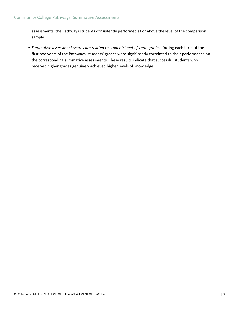assessments, the Pathways students consistently performed at or above the level of the comparison sample.

• Summative assessment scores are related to students' end-of-term grades. During each term of the first two years of the Pathways, students' grades were significantly correlated to their performance on the corresponding summative assessments. These results indicate that successful students who received higher grades genuinely achieved higher levels of knowledge.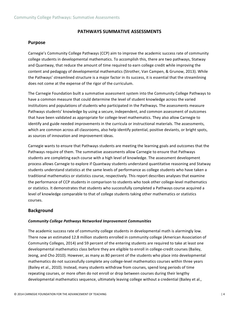#### **PATHWAYS SUMMATIVE ASSESSMENTS**

#### **Purpose**

Carnegie's Community College Pathways (CCP) aim to improve the academic success rate of community college students in developmental mathematics. To accomplish this, there are two pathways, Statway and Quantway, that reduce the amount of time required to earn college credit while improving the content and pedagogy of developmental mathematics (Strother, Van Campen, & Grunow, 2013). While the Pathways' streamlined structure is a major factor in its success, it is essential that the streamlining does not come at the expense of the rigor of the curriculum.

The Carnegie Foundation built a summative assessment system into the Community College Pathways to have a common measure that could determine the level of student knowledge across the varied institutions and populations of students who participated in the Pathways. The assessments measure Pathways students' knowledge by using a secure, independent, and common assessment of outcomes that have been validated as appropriate for college-level mathematics. They also allow Carnegie to identify and guide needed improvements in the curricula or instructional materials. The assessments, which are common across all classrooms, also help identify potential, positive deviants, or bright spots, as sources of innovation and improvement ideas.

Carnegie wants to ensure that Pathways students are meeting the learning goals and outcomes that the Pathways require of them. The summative assessments allow Carnegie to ensure that Pathways students are completing each course with a high level of knowledge. The assessment development process allows Carnegie to explore if Quantway students understand quantitative reasoning and Statway students understand statistics at the same levels of performance as college students who have taken a traditional mathematics or statistics course, respectively. This report describes analyses that examine the performance of CCP students in comparison to students who took other college-level mathematics or statistics. It demonstrates that students who successfully completed a Pathways course acquired a level of knowledge comparable to that of college students taking other mathematics or statistics courses. 

#### **Background**

#### *Community College Pathways Networked Improvement Communities*

The academic success rate of community college students in developmental math is alarmingly low. There now an estimated 12.8 million students enrolled in community college (American Association of Community Colleges, 2014) and 59 percent of the entering students are required to take at least one developmental mathematics class before they are eligible to enroll in college-credit courses (Bailey, Jeong, and Cho 2010). However, as many as 80 percent of the students who place into developmental mathematics do not successfully complete any college-level mathematics courses within three years (Bailey et al., 2010). Instead, many students withdraw from courses, spend long periods of time repeating courses, or more often do not enroll or drop between courses during their lengthy developmental mathematics sequence, ultimately leaving college without a credential (Bailey et al.,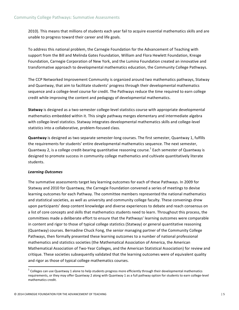2010). This means that millions of students each year fail to acquire essential mathematics skills and are unable to progress toward their career and life goals.

To address this national problem, the Carnegie Foundation for the Advancement of Teaching with support from the Bill and Melinda Gates Foundation, William and Flora Hewlett Foundation, Kresge Foundation, Carnegie Corporation of New York, and the Lumina Foundation created an innovative and transformative approach to developmental mathematics education, the Community College Pathways.

The CCP Networked Improvement Community is organized around two mathematics pathways, Statway and Quantway, that aim to facilitate students' progress through their developmental mathematics sequence and a college-level course for credit. The Pathways reduce the time required to earn college credit while improving the content and pedagogy of developmental mathematics.

**Statway** is designed as a two-semester college-level statistics course with appropriate developmental mathematics embedded within it. This single pathway merges elementary and intermediate algebra with college-level statistics. Statway integrates developmental mathematics skills and college-level statistics into a collaborative, problem-focused class.

**Quantway** is designed as two separate semester-long courses. The first semester, Quantway 1, fulfills the requirements for students' entire developmental mathematics sequence. The next semester, Quantway 2, is a college credit-bearing quantitative reasoning course.<sup>1</sup> Each semester of Quantway is designed to promote success in community college mathematics and cultivate quantitatively literate students.

#### *Learning Outcomes*

The summative assessments target key learning outcomes for each of these Pathways. In 2009 for Statway and 2010 for Quantway, the Carnegie Foundation convened a series of meetings to devise learning outcomes for each Pathway. The committee members represented the national mathematics and statistical societies, as well as university and community college faculty. These convenings drew upon participants' deep content knowledge and diverse experiences to debate and reach consensus on a list of core concepts and skills that mathematics students need to learn. Throughout this process, the committees made a deliberate effort to ensure that the Pathways' learning outcomes were comparable in content and rigor to those of typical college statistics (Statway) or general quantitative reasoning (Quantway) courses. Bernadine Chuck Fong, the senior managing partner of the Community College Pathways, then formally presented these learning outcomes to a number of national professional mathematics and statistics societies (the Mathematical Association of America, the American Mathematical Association of Two-Year Colleges, and the American Statistical Association) for review and critique. These societies subsequently validated that the learning outcomes were of equivalent quality and rigor as those of typical college mathematics courses.

<u> 1989 - Johann Stein, fransk politik (d. 1989)</u>

 $1$  Colleges can use Quantway 1 alone to help students progress more efficiently through their developmental mathematics requirements, or they may offer Quantway 2 along with Quantway 1 as a full pathway option for students to earn college-level mathematics credit.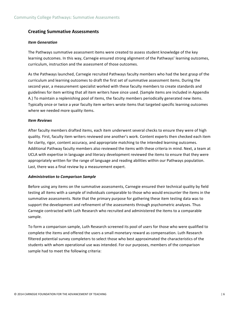#### **Creating Summative Assessments**

#### *Item Generation*

The Pathways summative assessment items were created to assess student knowledge of the key learning outcomes. In this way, Carnegie ensured strong alignment of the Pathways' learning outcomes, curriculum, instruction and the assessment of those outcomes.

As the Pathways launched, Carnegie recruited Pathways faculty members who had the best grasp of the curriculum and learning outcomes to draft the first set of summative assessment items. During the second year, a measurement specialist worked with these faculty members to create standards and guidelines for item writing that all item writers have since used. (Sample items are included in Appendix A.) To maintain a replenishing pool of items, the faculty members periodically generated new items. Typically once or twice a year faculty item writers wrote items that targeted specific learning outcomes where we needed more quality items.

#### *Item Reviews*

After faculty members drafted items, each item underwent several checks to ensure they were of high quality. First, faculty item writers reviewed one another's work. Content experts then checked each item for clarity, rigor, content accuracy, and appropriate matching to the intended learning outcomes. Additional Pathway faculty members also reviewed the items with these criteria in mind. Next, a team at UCLA with expertise in language and literacy development reviewed the items to ensure that they were appropriately written for the range of language and reading abilities within our Pathways population. Last, there was a final review by a measurement expert.

#### *Administration to Comparison Sample*

Before using any items on the summative assessments, Carnegie ensured their technical quality by field testing all items with a sample of individuals comparable to those who would encounter the items in the summative assessments. Note that the primary purpose for gathering these item testing data was to support the development and refinement of the assessments through psychometric analyses. Thus Carnegie contracted with Luth Research who recruited and administered the items to a comparable sample. 

To form a comparison sample, Luth Research screened its pool of users for those who were qualified to complete the items and offered the users a small monetary reward as compensation. Luth Research filtered potential survey completers to select those who best approximated the characteristics of the students with whom operational use was intended. For our purposes, members of the comparison sample had to meet the following criteria: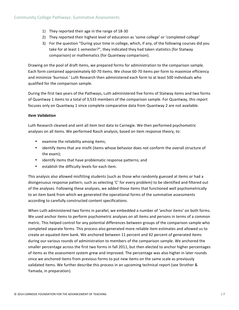- 1) They reported their age in the range of 18-30
- 2) They reported their highest level of education as 'some college' or 'completed college'
- 3) For the question "During your time in college, which, if any, of the following courses did you take for at least 1 semester?", they indicated they had taken statistics (for Statway comparison) or mathematics (for Quantway comparison).

Drawing on the pool of draft items, we prepared forms for administration to the comparison sample. Each form contained approximately 60-70 items. We chose 60-70 items per form to maximize efficiency and minimize 'burnout.' Luth Research then administered each form to at least 500 individuals who qualified for the comparison sample.

During the first two years of the Pathways, Luth administered five forms of Statway items and two forms of Quantway 1 items to a total of 3,533 members of the comparison sample. For Quantway, this report focuses only on Quantway 1 since complete comparative data from Quantway 2 are not available.

#### *Item Validation*

Luth Research cleaned and sent all item test data to Carnegie. We then performed psychometric analyses on all items. We performed Rasch analysis, based on item response theory, to:

- examine the reliability among items;
- identify items that are misfit (items whose behavior does not conform the overall structure of the exam):
- identify items that have problematic response patterns; and
- establish the difficulty levels for each item.

This analysis also allowed misfitting students (such as those who randomly guessed at items or had a disingenuous response pattern, such as selecting 'C' for every problem) to be identified and filtered out of the analyses. Following these analyses, we added those items that functioned well psychometrically to an item bank from which we generated the operational forms of the summative assessments according to carefully constructed content specifications.

When Luth administered two forms in parallel, we embedded a number of 'anchor items' on both forms. We used anchor items to perform psychometric analyses on all items and persons in terms of a common metric. This helped control for any potential differences between groups of the comparison sample who completed separate forms. This process also generated more reliable item estimates and allowed us to create an equated item bank. We anchored between 11 percent and 42 percent of generated items during our various rounds of administration to members of the comparison sample. We anchored the smaller percentage across the first two forms in fall 2011, but then elected to anchor higher percentages of items as the assessment system grew and improved. The percentage was also higher in later rounds since we anchored items from previous forms to put new items on the same scale as previously validated items. We further describe this process in an upcoming technical report (see Strother & Yamada, in preparation).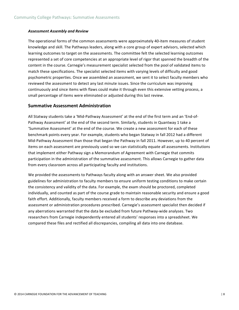#### *Assessment Assembly and Review*

The operational forms of the common assessments were approximately 40-item measures of student knowledge and skill. The Pathways leaders, along with a core group of expert advisors, selected which learning outcomes to target on the assessments. The committee felt the selected learning outcomes represented a set of core competencies at an appropriate level of rigor that spanned the breadth of the content in the course. Carnegie's measurement specialist selected from the pool of validated items to match these specifications. The specialist selected items with varying levels of difficulty and good psychometric properties. Once we assembled an assessment, we sent it to select faculty members who reviewed the assessment to detect any last minute issues. Since the curriculum was improving continuously and since items with flaws could make it through even this extensive vetting process, a small percentage of items were eliminated or adjusted during this last review.

#### **Summative Assessment Administration**

All Statway students take a 'Mid-Pathway Assessment' at the end of the first term and an 'End-of-Pathway Assessment' at the end of the second term. Similarly, students in Quantway 1 take a 'Summative Assessment' at the end of the course. We create a new assessment for each of these benchmark points every year. For example, students who began Statway in fall 2012 had a different Mid-Pathway Assessment than those that began the Pathway in fall 2011. However, up to 40 percent of items on each assessment are previously used so we can statistically equate all assessments. Institutions that implement either Pathway sign a Memorandum of Agreement with Carnegie that commits participation in the administration of the summative assessment. This allows Carnegie to gather data from every classroom across all participating faculty and institutions.

We provided the assessments to Pathways faculty along with an answer sheet. We also provided guidelines for administration to faculty members to ensure uniform testing conditions to make certain the consistency and validity of the data. For example, the exam should be proctored, completed individually, and counted as part of the course grade to maintain reasonable security and ensure a good faith effort. Additionally, faculty members received a form to describe any deviations from the assessment or administration procedures prescribed. Carnegie's assessment specialist then decided if any aberrations warranted that the data be excluded from future Pathway-wide analyses. Two researchers from Carnegie independently entered all students' responses into a spreadsheet. We compared these files and rectified all discrepancies, compiling all data into one database.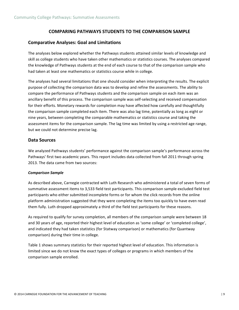#### **COMPARING PATHWAYS STUDENTS TO THE COMPARISON SAMPLE**

#### **Comparative Analyses: Goal and Limitations**

The analyses below explored whether the Pathways students attained similar levels of knowledge and skill as college students who have taken other mathematics or statistics courses. The analyses compared the knowledge of Pathways students at the end of each course to that of the comparison sample who had taken at least one mathematics or statistics course while in college.

The analyses had several limitations that one should consider when interpreting the results. The explicit purpose of collecting the comparison data was to develop and refine the assessments. The ability to compare the performance of Pathways students and the comparison sample on each item was an ancillary benefit of this process. The comparison sample was self-selecting and received compensation for their efforts. Monetary rewards for completion may have affected how carefully and thoughtfully the comparison sample completed each item. There was also lag time, potentially as long as eight or nine years, between completing the comparable mathematics or statistics course and taking the assessment items for the comparison sample. The lag time was limited by using a restricted age range, but we could not determine precise lag.

#### **Data Sources**

We analyzed Pathways students' performance against the comparison sample's performance across the Pathways' first two academic years. This report includes data collected from fall 2011 through spring 2013. The data came from two sources:

#### *Comparison Sample*

As described above, Carnegie contracted with Luth Research who administered a total of seven forms of summative assessment items to 3,533 field test participants. This comparison sample excluded field test participants who either submitted incomplete forms or for whom the click records from the online platform administration suggested that they were completing the items too quickly to have even read them fully. Luth dropped approximately a third of the field test participants for these reasons.

As required to qualify for survey completion, all members of the comparison sample were between 18 and 30 years of age, reported their highest level of education as 'some college' or 'completed college', and indicated they had taken statistics (for Statway comparison) or mathematics (for Quantway comparison) during their time in college.

Table 1 shows summary statistics for their reported highest level of education. This information is limited since we do not know the exact types of colleges or programs in which members of the comparison sample enrolled.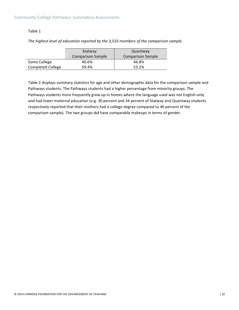#### Table 1

|                          | Statway           | Quantway                 |
|--------------------------|-------------------|--------------------------|
|                          | Comparison Sample | <b>Comparison Sample</b> |
| Some College             | 40.6%             | 46.8%                    |
| <b>Completed College</b> | 59.4%             | 53.2%                    |

*The highest level of education reported by the 3,533 members of the comparison sample.* 

Table 2 displays summary statistics for age and other demographic data for the comparison sample and Pathways students. The Pathways students had a higher percentage from minority groups. The Pathways students more frequently grew up in homes where the language used was not English-only and had lower maternal education (e.g. 30 percent and 34 percent of Statway and Quantway students respectively reported that their mothers had a college degree compared to 46 percent of the comparison sample). The two groups did have comparable makeups in terms of gender.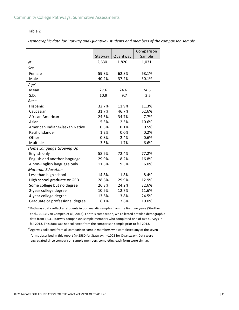#### Table 2

*Demographic data for Statway and Quantway students and members of the comparison sample.* 

|                                 |         |          | Comparison |
|---------------------------------|---------|----------|------------|
|                                 | Statway | Quantway | Sample     |
| $N^a$                           | 2,630   | 1,820    | 1,031      |
| Sex                             |         |          |            |
| Female                          | 59.8%   | 62.8%    | 68.1%      |
| Male                            | 40.2%   | 37.2%    | 30.1%      |
| $Age^{\hat{b}}$                 |         |          |            |
| Mean                            | 27.6    | 24.6     | 24.6       |
| S.D.                            | 10.9    | 9.7      | 3.5        |
| Race                            |         |          |            |
| Hispanic                        | 32.7%   | 11.9%    | 11.3%      |
| Caucasian                       | 31.7%   | 46.7%    | 62.6%      |
| African American                | 24.3%   | 34.7%    | 7.7%       |
| Asian                           | 5.3%    | 2.5%     | 10.6%      |
| American Indian/Alaskan Native  | 0.5%    | 0.1%     | 0.5%       |
| Pacific Islander                | 1.2%    | 0.0%     | 0.2%       |
| Other                           | 0.8%    | 2.4%     | 0.6%       |
| Multiple                        | 3.5%    | 1.7%     | 6.6%       |
| Home Language Growing Up        |         |          |            |
| English only                    | 58.6%   | 72.4%    | 77.2%      |
| English and another language    | 29.9%   | 18.2%    | 16.8%      |
| A non-English language only     | 11.5%   | 9.5%     | 6.0%       |
| <b>Maternal Education</b>       |         |          |            |
| Less than high school           | 14.8%   | 11.8%    | 8.4%       |
| High school graduate or GED     | 28.6%   | 29.9%    | 12.9%      |
| Some college but no degree      | 26.3%   | 24.2%    | 32.6%      |
| 2-year college degree           | 10.6%   | 12.7%    | 11.6%      |
| 4-year college degree           | 13.6%   | 13.8%    | 24.5%      |
| Graduate or professional degree | 6.1%    | 7.6%     | 10.0%      |

<sup>a</sup> Pathways data reflect all students in our analytic samples from the first two years (Strother et al., 2013; Van Campen et al., 2013). For this comparison, we collected detailed demographic data from 1,031 Statway comparison sample members who completed one of two surveys in fall 2013. This data was not collected from the comparison sample prior to fall 2013.

 *Age was collected from all comparison sample members who completed any of the seven* forms described in this report (n=2530 for Statway;  $n=1003$  for Quantway). Data were aggregated since comparison sample members completing each form were similar.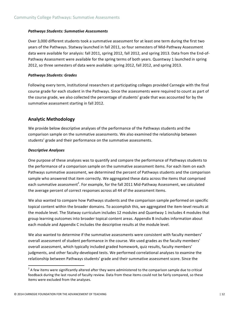#### *Pathways Students: Summative Assessments*

Over 3,000 different students took a summative assessment for at least one term during the first two years of the Pathways. Statway launched in fall 2011, so four semesters of Mid-Pathway Assessment data were available for analysis: fall 2011, spring 2012, fall 2012, and spring 2013. Data from the End-of-Pathway Assessment were available for the spring terms of both years. Quantway 1 launched in spring 2012, so three semesters of data were available: spring 2012, fall 2012, and spring 2013.

#### *Pathways Students: Grades*

Following every term, institutional researchers at participating colleges provided Carnegie with the final course grade for each student in the Pathways. Since the assessments were required to count as part of the course grade, we also collected the percentage of students' grade that was accounted for by the summative assessment starting in fall 2012.

#### **Analytic Methodology**

We provide below descriptive analyses of the performance of the Pathways students and the comparison sample on the summative assessments. We also examined the relationship between students' grade and their performance on the summative assessments.

#### *Descriptive Analyses*

One purpose of these analyses was to quantify and compare the performance of Pathways students to the performance of a comparison sample on the summative assessment items. For each item on each Pathways summative assessment, we determined the percent of Pathways students and the comparison sample who answered that item correctly. We aggregated these data across the items that comprised each summative assessment<sup>2</sup>. For example, for the fall 2011 Mid-Pathway Assessment, we calculated the average percent of correct responses across all 44 of the assessment items.

We also wanted to compare how Pathways students and the comparison sample performed on specific topical content within the broader domains. To accomplish this, we aggregated the item-level results at the module level. The Statway curriculum includes 12 modules and Quantway 1 includes 4 modules that group learning outcomes into broader topical content areas. Appendix B includes information about each module and Appendix C includes the descriptive results at the module level.

We also wanted to determine if the summative assessments were consistent with faculty members' overall assessment of student performance in the course. We used grades as the faculty members' overall assessment, which typically included graded homework, quiz results, faculty members' judgments, and other faculty-developed tests. We performed correlational analyses to examine the relationship between Pathways students' grade and their summative assessment score. Since the

<u> 1989 - Johann Stein, fransk politik (d. 1989)</u>

 $2^2$  A few items were significantly altered after they were administered to the comparison sample due to critical feedback during the last round of faculty review. Data from these items could not be fairly compared, so these items were excluded from the analyses.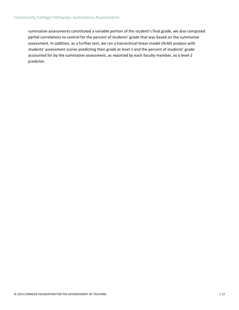summative assessments constituted a variable portion of the student's final grade, we also computed partial correlations to control for the percent of students' grade that was based on the summative assessment. In addition, as a further test, we ran a hierarchical linear model (HLM) analysis with students' assessment scores predicting their grade at level 1 and the percent of students' grade accounted for by the summative assessment, as reported by each faculty member, as a level-2 predictor.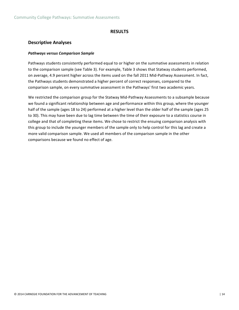#### **RESULTS**

#### **Descriptive Analyses**

#### *Pathways versus Comparison Sample*

Pathways students consistently performed equal to or higher on the summative assessments in relation to the comparison sample (see Table 3). For example, Table 3 shows that Statway students performed, on average, 4.9 percent higher across the items used on the fall 2011 Mid-Pathway Assessment. In fact, the Pathways students demonstrated a higher percent of correct responses, compared to the comparison sample, on every summative assessment in the Pathways' first two academic years.

We restricted the comparison group for the Statway Mid-Pathway Assessments to a subsample because we found a significant relationship between age and performance within this group, where the younger half of the sample (ages 18 to 24) performed at a higher level than the older half of the sample (ages 25 to 30). This may have been due to lag time between the time of their exposure to a statistics course in college and that of completing these items. We chose to restrict the ensuing comparison analysis with this group to include the younger members of the sample only to help control for this lag and create a more valid comparison sample. We used all members of the comparison sample in the other comparisons because we found no effect of age.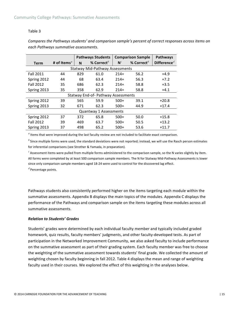#### Table 3

*Compares* the Pathways students' and comparison sample's percent of correct responses across items on *each Pathways summative assessments.*

|                                        |                         | <b>Pathways Students</b> |                                     |        | <b>Comparison Sample</b> | <b>Pathways</b>                      |  |  |  |  |  |
|----------------------------------------|-------------------------|--------------------------|-------------------------------------|--------|--------------------------|--------------------------------------|--|--|--|--|--|
| <b>Term</b>                            | # of Items <sup>a</sup> | N                        | % Correct <sup>b</sup>              | $N^c$  | % Correct <sup>b</sup>   | Difference <sup><math>d</math></sup> |  |  |  |  |  |
| <b>Statway Mid-Pathway Assessments</b> |                         |                          |                                     |        |                          |                                      |  |  |  |  |  |
| <b>Fall 2011</b>                       | 44                      | 829                      | 61.0                                | $214+$ | 56.2                     | $+4.9$                               |  |  |  |  |  |
| Spring 2012                            | 44                      | 68                       | 63.4                                | $214+$ | 56.3                     | $+7.2$                               |  |  |  |  |  |
| <b>Fall 2012</b>                       | 35                      | 686                      | 62.3                                | $214+$ | 58.8                     | $+3.5$                               |  |  |  |  |  |
| Spring 2013                            | 35                      | 358                      | 62.9                                | $214+$ | 58.8                     | $+4.1$                               |  |  |  |  |  |
|                                        |                         |                          | Statway End-of- Pathway Assessments |        |                          |                                      |  |  |  |  |  |
| Spring 2012                            | 39                      | 565                      | 59.9                                | $500+$ | 39.1                     | $+20.8$                              |  |  |  |  |  |
| Spring 2013                            | 32                      | 671                      | 62.3                                | $500+$ | 44.9                     | $+17.4$                              |  |  |  |  |  |
|                                        |                         |                          | Quantway 1 Assessments              |        |                          |                                      |  |  |  |  |  |
| Spring 2012                            | 37                      | 372                      | 65.8                                | $500+$ | 50.0                     | $+15.8$                              |  |  |  |  |  |
| <b>Fall 2012</b>                       | 39                      | 469                      | 63.7                                | $500+$ | 50.5                     | $+13.2$                              |  |  |  |  |  |
| Spring 2013                            | 37                      | 498                      | 65.2                                | $500+$ | 53.6                     | $+11.7$                              |  |  |  |  |  |

*a* Items that were improved during the last faculty review are not included to facilitate exact comparison.

 $^b$  Since multiple forms were used, the standard deviations were not reported; instead, we will use the Rasch person estimates for inferential comparisons (see Strother & Yamada, in preparation).

<sup>c</sup> Assessment items were pulled from multiple forms administered to the comparison sample, so the N varies slightly by item. All forms were completed by at least 500 comparison sample members. The N for Statway Mid-Pathway Assessments is lower since only comparison sample members aged 18-24 were used to control for the discovered lag effect.

 $^d$  Percentage points.

Pathways students also consistently performed higher on the items targeting each module within the summative assessments. Appendix B displays the main topics of the modules. Appendix C displays the performance of the Pathways and comparison sample on the items targeting these modules across all summative assessments.

#### *Relation to Students' Grades*

Students' grades were determined by each individual faculty member and typically included graded homework, quiz results, faculty members' judgments, and other faculty-developed tests. As part of participation in the Networked Improvement Community, we also asked faculty to include performance on the summative assessment as part of their grading system. Each faculty member was free to choose the weighting of the summative assessment towards students' final grade. We collected the amount of weighting chosen by faculty beginning in fall 2012. Table 4 displays the mean and range of weighting faculty used in their courses. We explored the effect of this weighting in the analyses below.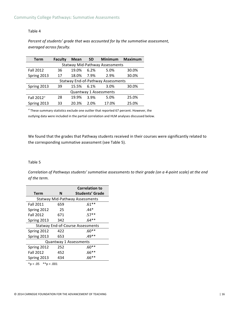#### Table 4

Percent of students' grade that was accounted for by the summative assessment, *averaged across faculty.*

| <b>Term</b>            | <b>Faculty</b>                            | <b>Mean</b> | <b>Minimum</b><br><b>SD</b> |                        | Maximum |  |  |  |  |  |  |  |
|------------------------|-------------------------------------------|-------------|-----------------------------|------------------------|---------|--|--|--|--|--|--|--|
|                        | <b>Statway Mid-Pathway Assessments</b>    |             |                             |                        |         |  |  |  |  |  |  |  |
| <b>Fall 2012</b>       | 36                                        | 19.0%       | 6.2%                        | 5.0%                   | 30.0%   |  |  |  |  |  |  |  |
| Spring 2013            | 17                                        | 18.0%       | 7.9%                        | 2.9%                   | 30.0%   |  |  |  |  |  |  |  |
|                        | <b>Statway End-of-Pathway Assessments</b> |             |                             |                        |         |  |  |  |  |  |  |  |
| Spring 2013            | 39                                        | 15.5%       | 6.1%                        | 3.0%                   | 30.0%   |  |  |  |  |  |  |  |
|                        |                                           |             |                             | Quantway 1 Assessments |         |  |  |  |  |  |  |  |
| Fall 2012 <sup>a</sup> | 28                                        | 19.9%       | 3.9%                        | 5.0%                   | 25.0%   |  |  |  |  |  |  |  |
| Spring 2013            | 33                                        | 20.3%       | 2.0%                        | 17.0%                  | 25.0%   |  |  |  |  |  |  |  |

*a* These summary statistics exclude one outlier that reported 67 percent. However, the outlying data were included in the partial correlation and HLM analyses discussed below.

We found that the grades that Pathway students received in their courses were significantly related to the corresponding summative assessment (see Table 5).

#### Table 5

*Correlation of Pathways students' summative assessments to their grade (on a 4-point scale)* at the end *of the term.*

|                  |     | <b>Correlation to</b>                    |
|------------------|-----|------------------------------------------|
| Term             | N   | <b>Students' Grade</b>                   |
|                  |     | <b>Statway Mid-Pathway Assessments</b>   |
| <b>Fall 2011</b> | 659 | $.61**$                                  |
| Spring 2012      | 25  | $.44*$                                   |
| <b>Fall 2012</b> | 671 | $.57**$                                  |
| Spring 2013      | 342 | $.64**$                                  |
|                  |     | <b>Statway End-of-Course Assessments</b> |
| Spring 2012      | 422 | $.60**$                                  |
| Spring 2013      | 653 | $.49**$                                  |
|                  |     | Quantway 1 Assessments                   |
| Spring 2012      | 252 | $.60**$                                  |
| <b>Fall 2012</b> | 452 | $.66**$                                  |
| Spring 2013      | 434 | $.66**$                                  |
|                  |     |                                          |

 $*p < .05$   $**p < .001$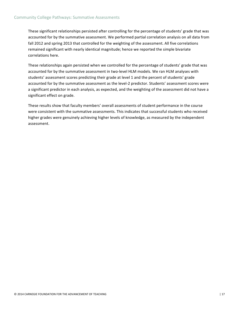These significant relationships persisted after controlling for the percentage of students' grade that was accounted for by the summative assessment. We performed partial correlation analysis on all data from fall 2012 and spring 2013 that controlled for the weighting of the assessment. All five correlations remained significant with nearly identical magnitude; hence we reported the simple bivariate correlations here.

These relationships again persisted when we controlled for the percentage of students' grade that was accounted for by the summative assessment in two-level HLM models. We ran HLM analyses with students' assessment scores predicting their grade at level 1 and the percent of students' grade accounted for by the summative assessment as the level-2 predictor. Students' assessment scores were a significant predictor in each analysis, as expected, and the weighting of the assessment did not have a significant effect on grade.

These results show that faculty members' overall assessments of student performance in the course were consistent with the summative assessments. This indicates that successful students who received higher grades were genuinely achieving higher levels of knowledge, as measured by the independent assessment.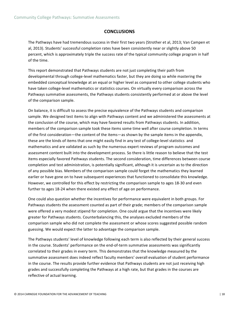#### **CONCLUSIONS**

The Pathways have had tremendous success in their first two years (Strother et al, 2013; Van Campen et al, 2013). Students' successful completion rates have been consistently near or slightly above 50 percent, which is approximately triple the success rate of the typical community college program in half of the time.

This report demonstrated that Pathways students are not just completing their path from developmental through college-level mathematics faster, but they are doing so while mastering the embedded conceptual knowledge at an equal or higher level as compared to other college students who have taken college-level mathematics or statistics courses. On virtually every comparison across the Pathways summative assessments, the Pathways students consistently performed at or above the level of the comparison sample.

On balance, it is difficult to assess the precise equivalence of the Pathways students and comparison sample. We designed test items to align with Pathways content and we administered the assessments at the conclusion of the course, which may have favored results from Pathways students. In addition, members of the comparison sample took these items some time well after course completion. In terms of the first consideration—the content of the items—as shown by the sample items in the appendix, these are the kinds of items that one might easily find in any test of college-level statistics and mathematics and are validated as such by the numerous expert reviews of program outcomes and assessment content built into the development process. So there is little reason to believe that the test items especially favored Pathways students. The second consideration, time differences between course completion and test administration, is potentially significant, although it is uncertain as to the direction of any possible bias. Members of the comparison sample could forget the mathematics they learned earlier or have gone on to have subsequent experiences that functioned to consolidate this knowledge. However, we controlled for this effect by restricting the comparison sample to ages 18-30 and even further to ages 18-24 when there existed any effect of age on performance.

One could also question whether the incentives for performance were equivalent in both groups. For Pathways students the assessment counted as part of their grade; members of the comparison sample were offered a very modest stipend for completion. One could argue that the incentives were likely greater for Pathways students. Counterbalancing this, the analyses excluded members of the comparison sample who did not complete the assessment or whose scores suggested possible random guessing. We would expect the latter to advantage the comparison sample.

The Pathways students' level of knowledge following each term is also reflected by their general success in the course. Students' performance on the end-of-term summative assessments was significantly correlated to their grades in every term. This demonstrates that the knowledge measured by the summative assessment does indeed reflect faculty members' overall evaluation of student performance in the course. The results provide further evidence that Pathways students are not just receiving high grades and successfully completing the Pathways at a high rate, but that grades in the courses are reflective of actual learning.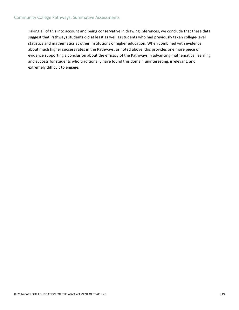#### Community College Pathways: Summative Assessments

Taking all of this into account and being conservative in drawing inferences, we conclude that these data suggest that Pathways students did at least as well as students who had previously taken college-level statistics and mathematics at other institutions of higher education. When combined with evidence about much higher success rates in the Pathways, as noted above, this provides one more piece of evidence supporting a conclusion about the efficacy of the Pathways in advancing mathematical learning and success for students who traditionally have found this domain uninteresting, irrelevant, and extremely difficult to engage.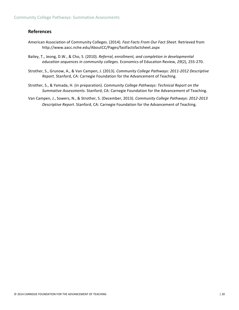#### **References**

- American Association of Community Colleges. (2014). Fast Facts From Our Fact Sheet. Retrieved from http://www.aacc.nche.edu/AboutCC/Pages/fastfactsfactsheet.aspx
- Bailey, T., Jeong, D.W., & Cho, S. (2010). *Referral, enrollment, and completion in developmental education sequences in community colleges*. Economics of Education Review, 29(2), 255-270.
- Strother, S., Grunow, A., & Van Campen, J. (2013). *Community College Pathways: 2011-2012 Descriptive Report*. Stanford, CA: Carnegie Foundation for the Advancement of Teaching.
- Strother, S., & Yamada, H. (in preparation). *Community College Pathways: Technical Report on the* Summative Assessments. Stanford, CA: Carnegie Foundation for the Advancement of Teaching.
- Van Campen, J., Sowers, N., & Strother, S. (December, 2013). *Community College Pathways: 2012-2013* Descriptive Report. Stanford, CA: Carnegie Foundation for the Advancement of Teaching.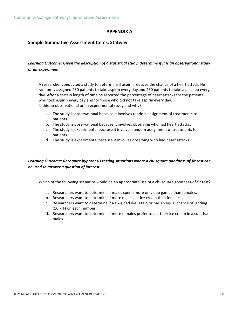#### **APPENDIX A**

#### **Sample Summative Assessment Items: Statway**

#### Learning Outcome: Given the description of a statistical study, determine if it is an observational study *or an experiment*

A researcher conducted a study to determine if aspirin reduces the chance of a heart attack. He randomly assigned 250 patients to take aspirin every day and 250 patients to take a placebo every day. After a certain length of time he reported the percentage of heart attacks for the patients who took aspirin every day and for those who did not take aspirin every day. Is this an observational or an experimental study and why?

- a. The study is observational because it involves random assignment of treatments to patients.
- b. The study is observational because it involves observing who had heart attacks.
- c. The study is experimental because it involves random assignment of treatments to patients.
- d. The study is experimental because it involves observing who had heart attacks.

#### Learning Outcome: Recognize hypothesis testing situations where a chi-square goodness-of-fit test can *be used to answer a question of interest*

Which of the following scenarios would be an appropriate use of a chi-square goodness-of-fit test?

- a. Researchers want to determine if males spend more on video games than females.
- b. Researchers want to determine if more males eat ice cream than females.
- c. Researchers want to determine if a six-sided die is fair, or has an equal chance of landing  $(16.7%)$  on each number.
- d. Researchers want to determine if more females prefer to eat their ice cream in a cup than males.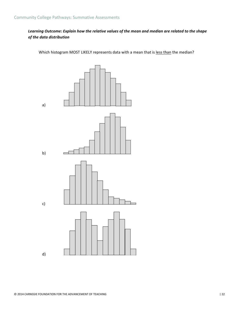#### Learning Outcome: Explain how the relative values of the mean and median are related to the shape *of the data distribution*

Which histogram MOST LIKELY represents data with a mean that is less than the median?



d)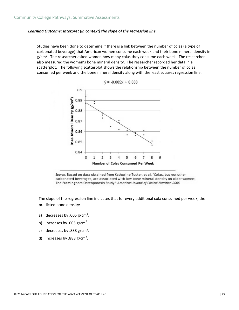#### Learning Outcome: Interpret (in context) the slope of the regression line.

Studies have been done to determine if there is a link between the number of colas (a type of carbonated beverage) that American women consume each week and their bone mineral density in  $g/cm<sup>2</sup>$ . The researcher asked women how many colas they consume each week. The researcher also measured the women's bone mineral density. The researcher recorded her data in a scatterplot. The following scatterplot shows the relationship between the number of colas consumed per week and the bone mineral density along with the least squares regression line.





Source: Based on data obtained from Katherine Tucker, et al. "Colas, but not other carbonated beverages, are associated with low bone mineral density on older women: The Framingham Osteoporosis Study." American Journal of Clinical Nutrition 2006

The slope of the regression line indicates that for every additional cola consumed per week, the predicted bone density:

- a) decreases by .005  $g/cm<sup>2</sup>$ .
- b) increases by .005  $g/cm<sup>2</sup>$ .
- c) decreases by .888  $g/cm<sup>2</sup>$ .
- d) increases by .888  $g/cm<sup>2</sup>$ .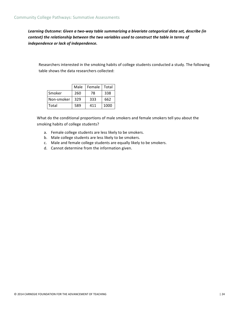Learning Outcome: Given a two-way table summarizing a bivariate categorical data set, describe (in *context)* the relationship between the two variables used to construct the table in terms of *independence or lack of independence.*

Researchers interested in the smoking habits of college students conducted a study. The following table shows the data researchers collected:

|            | Male | Female | Total |
|------------|------|--------|-------|
| Smoker     | 260  | 78     | 338   |
| Non-smoker | 329  | 333    | 662   |
| Total      | 589  | 411    | 1000  |

What do the conditional proportions of male smokers and female smokers tell you about the smoking habits of college students?

- a. Female college students are less likely to be smokers.
- b. Male college students are less likely to be smokers.
- c. Male and female college students are equally likely to be smokers.
- d. Cannot determine from the information given.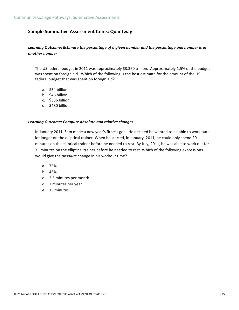#### **Sample Summative Assessment Items: Quantway**

#### Learning Outcome: Estimate the percentage of a given number and the percentage one number is of *another number*

The US federal budget in 2011 was approximately \$3.360 trillion. Approximately 1.5% of the budget was spent on foreign aid. Which of the following is the best estimate for the amount of the US federal budget that was spent on foreign aid?

- a. \$34 billion
- b. \$48 billion
- c. \$336 billion
- d. \$480 billion

#### *Learning Outcome: Compute absolute and relative changes*

In January 2011, Sam made a new year's fitness goal. He decided he wanted to be able to work out a lot longer on the elliptical trainer. When he started, in January, 2011, he could only spend 20 minutes on the elliptical trainer before he needed to rest. By July, 2011, he was able to work out for 35 minutes on the elliptical trainer before he needed to rest. Which of the following expressions would give the *absolute* change in his workout time?

- a. 75%
- b. 43%
- c. 2.5 minutes per month
- d. 7 minutes per year
- e. 15 minutes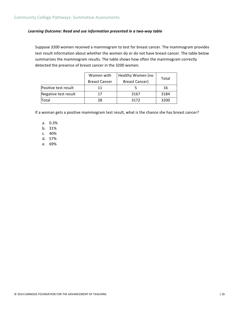#### Learning Outcome: Read and use information presented in a two-way table

Suppose 3200 women received a mammogram to test for breast cancer. The mammogram provides test result information about whether the women do or do not have breast cancer. The table below summarizes the mammogram results. The table shows how often the mammogram correctly detected the presence of breast cancer in the 3200 women.

|                      | Women with           | Healthy Women (no | Total |  |
|----------------------|----------------------|-------------------|-------|--|
|                      | <b>Breast Cancer</b> | Breast Cancer)    |       |  |
| Positive test result | 11                   |                   | 16    |  |
| Negative test result | 17                   | 3167              | 3184  |  |
| Total                | 28                   | 3172              | 3200  |  |

If a woman gets a positive mammogram test result, what is the chance she has breast cancer?

- a. 0.3%
- b. 31%
- c. 40%
- d. 57%
- e. 69%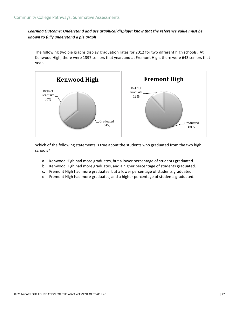#### Learning Outcome: Understand and use graphical displays: know that the reference value must be *known to fully understand a pie graph*

The following two pie graphs display graduation rates for 2012 for two different high schools. At Kenwood High, there were 1397 seniors that year, and at Fremont High, there were 643 seniors that year. 



Which of the following statements is true about the students who graduated from the two high schools?

- a. Kenwood High had more graduates, but a lower percentage of students graduated.
- b. Kenwood High had more graduates, and a higher percentage of students graduated.
- c. Fremont High had more graduates, but a lower percentage of students graduated.
- d. Fremont High had more graduates, and a higher percentage of students graduated.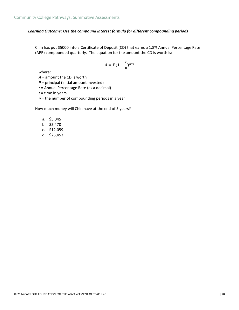#### Learning Outcome: Use the compound interest formula for different compounding periods

Chin has put \$5000 into a Certificate of Deposit (CD) that earns a 1.8% Annual Percentage Rate (APR) compounded quarterly. The equation for the amount the CD is worth is:

$$
A = P(1 + \frac{r}{n})^{n*t}
$$

where:

 $A =$  amount the CD is worth

 $P =$  principal (initial amount invested)

*r* = Annual Percentage Rate (as a decimal)

 $t =$  time in years

 $n =$  the number of compounding periods in a year

How much money will Chin have at the end of 5 years?

- a. \$5,045
- b. \$5,470
- c. \$12,059
- d. \$25,453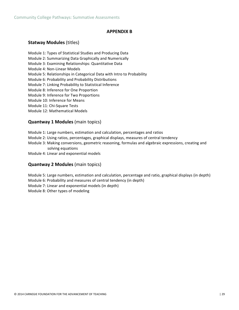#### **APPENDIX B**

#### **Statway Modules (titles)**

- Module 1: Types of Statistical Studies and Producing Data
- Module 2: Summarizing Data Graphically and Numerically
- Module 3: Examining Relationships: Quantitative Data
- Module 4: Non-Linear Models
- Module 5: Relationships in Categorical Data with Intro to Probability
- Module 6: Probability and Probability Distributions
- Module 7: Linking Probability to Statistical Inference
- Module 8: Inference for One Proportion
- Module 9: Inference for Two Proportions
- Module 10: Inference for Means
- Module 11: Chi-Square Tests
- Module 12: Mathematical Models

#### **Quantway 1 Modules** (main topics)

- Module 1: Large numbers, estimation and calculation, percentages and ratios
- Module 2: Using ratios, percentages, graphical displays, measures of central tendency
- Module 3: Making conversions, geometric reasoning, formulas and algebraic expressions, creating and solving equations
- Module 4: Linear and exponential models

#### **Quantway 2 Modules** (main topics)

Module 5: Large numbers, estimation and calculation, percentage and ratio, graphical displays (in depth) Module 6: Probability and measures of central tendency (in depth) Module 7: Linear and exponential models (in depth) Module 8: Other types of modeling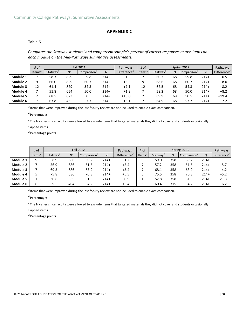#### **APPENDIX C**

#### Table 6

*Compares the Statway students' and comparison sample's percent of correct responses across items on each module on the Mid-Pathways summative assessments.*

|          | # of           | <b>Fall 2011</b>     |       |                         |        | Pathways                             | # of                            | Spring 2012          |    |                         |        | Pathways                             |
|----------|----------------|----------------------|-------|-------------------------|--------|--------------------------------------|---------------------------------|----------------------|----|-------------------------|--------|--------------------------------------|
|          | Items $\theta$ | Statway <sup>b</sup> | $N^c$ | Comparison <sup>b</sup> | N      | Difference <sup><math>d</math></sup> | Items <sup><math>a</math></sup> | Statway <sup>b</sup> | N  | Comparison <sup>b</sup> | N      | Difference <sup><math>d</math></sup> |
| Module 1 |                | 58.3                 | 829   | 59.8                    | $214+$ | $-1.5$                               |                                 | 60.3                 | 68 | 59.8                    | $214+$ | $+0.5$                               |
| Module 2 | 9              | 66.0                 | 829   | 60.7                    | $214+$ | $+5.3$                               | 9                               | 68.6                 | 68 | 60.7                    | $214+$ | $+8.0$                               |
| Module 3 | 12             | 61.4                 | 829   | 54.3                    | $214+$ | $+7.1$                               | 12                              | 62.5                 | 68 | 54.3                    | $214+$ | $+8.2$                               |
| Module 4 |                | 51.8                 | 654   | 50.0                    | $214+$ | $+1.8$                               |                                 | 58.2                 | 68 | 50.0                    | $214+$ | $+8.2$                               |
| Module 5 |                | 68.5                 | 623   | 50.5                    | $214+$ | $+18.0$                              |                                 | 69.9                 | 68 | 50.5                    | $214+$ | $+19.4$                              |
| Module 6 |                | 63.8                 | 465   | 57.7                    | $214+$ | $+6.1$                               |                                 | 64.9                 | 68 | 57.7                    | $214+$ | $+7.2$                               |

<sup>a</sup> Items that were improved during the last faculty review are not included to enable exact comparison.

*<sup>b</sup>* Percentages. 

<sup>c</sup> The N varies since faculty were allowed to exclude items that targeted materials they did not cover and students occasionally

skipped items.

 $^d$  Percentage points.

|          | $#$ of             |                      | <b>Fall 2012</b> |                 |        | Pathways                             | # of               | Spring 2013          |       |                |        | Pathways                             |
|----------|--------------------|----------------------|------------------|-----------------|--------|--------------------------------------|--------------------|----------------------|-------|----------------|--------|--------------------------------------|
|          | Items <sup>a</sup> | Statway <sup>b</sup> | $N^c$            | Comparison $^b$ | N      | Difference <sup><math>d</math></sup> | Items <sup>a</sup> | Statway <sup>b</sup> | $N^c$ | Comparison $b$ | N      | Difference <sup><math>d</math></sup> |
| Module 1 | q                  | 58.9                 | 686              | 60.2            | $214+$ | $-1.2$                               | 9                  | 59.0                 | 358   | 60.2           | $214+$ | $-1.1$                               |
| Module 2 |                    | 56.9                 | 686              | 51.5            | $214+$ | $+5.4$                               |                    | 57.2                 | 358   | 51.5           | $214+$ | $+5.7$                               |
| Module 3 |                    | 69.3                 | 686              | 63.9            | $214+$ | $+5.4$                               |                    | 68.1                 | 358   | 63.9           | $214+$ | $+4.2$                               |
| Module 4 |                    | 75.8                 | 686              | 70.3            | $214+$ | $+5.5$                               |                    | 75.5                 | 358   | 70.3           | $214+$ | $+5.2$                               |
| Module 5 |                    | 30.6                 | 565              | 31.5            | $214+$ | $-0.9$                               |                    | 52.8                 | 358   | 31.5           | $214+$ | $+21.3$                              |
| Module 6 | h                  | 59.5                 | 404              | 54.2            | $214+$ | $+5.4$                               | b                  | 60.4                 | 315   | 54.2           | $214+$ | $+6.2$                               |

<sup>a</sup> Items that were improved during the last faculty review are not included to enable exact comparison.

*<sup>b</sup>* Percentages. 

<sup>c</sup> The N varies since faculty were allowed to exclude items that targeted materials they did not cover and students occasionally

skipped items.

 $^d$  Percentage points.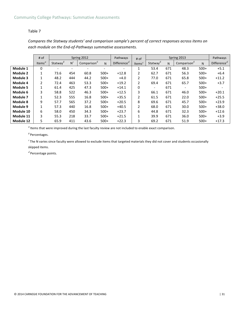#### Table 7

*Compares the Statway students' and comparison sample's percent of correct responses across items on* each module on the End-of-Pathways summative assessments.

|           | # of       | Spring 2012                                      |         |                 |        | Pathways                 | # of                            |                          |     | Spring 2013     |        | Pathways       |
|-----------|------------|--------------------------------------------------|---------|-----------------|--------|--------------------------|---------------------------------|--------------------------|-----|-----------------|--------|----------------|
|           | Items $^a$ | Statway <sup><math>\frac{\theta}{2}</math></sup> | $N^{c}$ | Comparison $^b$ | N      | Difference $^d$          | Items <sup><math>a</math></sup> | Statway $\frac{b}{2}$    | N   | Comparison $^b$ | N      | Difference $d$ |
| Module 1  | 0          |                                                  |         |                 |        | $\overline{\phantom{a}}$ |                                 | 53.4                     | 671 | 48.3            | $500+$ | $+5.1$         |
| Module 2  | 1          | 73.6                                             | 454     | 60.8            | $500+$ | $+12.8$                  | $\overline{2}$                  | 62.7                     | 671 | 56.3            | $500+$ | $+6.4$         |
| Module 3  | 1          | 48.2                                             | 444     | 44.2            | $500+$ | $+4.0$                   | 2                               | 77.0                     | 671 | 65.8            | $500+$ | $+11.2$        |
| Module 4  | 2          | 72.4                                             | 463     | 53.3            | $500+$ | $+19.2$                  | $\overline{2}$                  | 69.4                     | 671 | 65.7            | $500+$ | $+3.7$         |
| Module 5  | 1          | 61.4                                             | 425     | 47.3            | $500+$ | $+14.1$                  | 0                               | $\overline{\phantom{a}}$ | 671 |                 | $500+$ |                |
| Module 6  | 3          | 58.8                                             | 522     | 46.3            | $500+$ | $+12.5$                  | 3                               | 66.1                     | 671 | 46.0            | $500+$ | $+20.1$        |
| Module 7  | 1          | 52.3                                             | 555     | 16.8            | $500+$ | $+35.5$                  | 2                               | 61.5                     | 671 | 22.0            | $500+$ | $+25.5$        |
| Module 8  | 9          | 57.7                                             | 565     | 37.2            | $500+$ | $+20.5$                  | 8                               | 69.6                     | 671 | 45.7            | $500+$ | $+23.9$        |
| Module 9  | 1          | 57.3                                             | 440     | 16.8            | $500+$ | $+40.5$                  | $\overline{2}$                  | 68.0                     | 671 | 30.0            | $500+$ | $+38.0$        |
| Module 10 | 6          | 58.0                                             | 450     | 34.3            | $500+$ | $+23.7$                  | 6                               | 44.8                     | 671 | 32.3            | $500+$ | $+12.6$        |
| Module 11 | 3          | 55.3                                             | 218     | 33.7            | $500+$ | $+21.5$                  | $\mathbf{1}$                    | 39.9                     | 671 | 36.0            | $500+$ | $+3.9$         |
| Module 12 | 5          | 65.9                                             | 411     | 43.6            | $500+$ | $+22.3$                  | 3                               | 69.2                     | 671 | 51.9            | $500+$ | $+17.3$        |

<sup>a</sup> Items that were improved during the last faculty review are not included to enable exact comparison.

*<sup>b</sup>* Percentages. 

<sup>c</sup> The N varies since faculty were allowed to exclude items that targeted materials they did not cover and students occasionally skipped items.

 $^d$  Percentage points.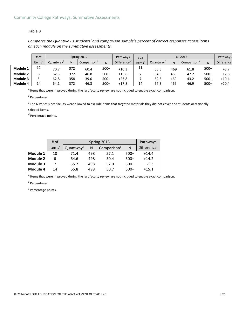#### Community College Pathways: Summative Assessments

#### Table 8

*Compares the Quantway 1 students' and comparison sample's percent of correct responses across items on each module on the summative assessments.*

|          | # of  |           | Spring 2012  |                         |        | Pathways        | <b>Fall 2012</b><br>$#$ of |           |     |                         | Pathways |             |
|----------|-------|-----------|--------------|-------------------------|--------|-----------------|----------------------------|-----------|-----|-------------------------|----------|-------------|
|          | Items | Quantway' | $N^{\prime}$ | Comparison <sup>b</sup> | N      | Difference $^d$ | Items <sup>a</sup>         | Quantway' | N   | Comparison <sup>4</sup> | N        | Difference' |
| Module 1 | 12    | 70.7      | 372          | 60.4                    | $500+$ | $+10.3$         | 11                         | 65.5      | 469 | 61.8                    | $500+$   | $+3.7$      |
| Module 2 |       | 62.3      | 372          | 46.8                    | $500+$ | $+15.6$         |                            | 54.8      | 469 | 47.2                    | $500+$   | $+7.6$      |
| Module 3 |       | 62.8      | 358          | 39.0                    | $500+$ | $+23.8$         |                            | 62.6      | 469 | 43.2                    | $500+$   | $+19.4$     |
| Module 4 | 14    | 64.1      | 372          | 46.3                    | $500+$ | $+17.8$         | 14                         | 67.3      | 469 | 46.9                    | $500+$   | $+20.4$     |

<sup>a</sup> Items that were improved during the last faculty review are not included to enable exact comparison.

*<sup>b</sup>* Percentages. 

<sup>c</sup> The N varies since faculty were allowed to exclude items that targeted materials they did not cover and students occasionally skipped items.

 $^d$  Percentage points.

|                 | # of                            |                                         |     | Spring 2013            |        | Pathways       |
|-----------------|---------------------------------|-----------------------------------------|-----|------------------------|--------|----------------|
|                 | Items <sup><math>a</math></sup> | Quantway <sup><math>\delta</math></sup> | Ν   | Comparison $^{\theta}$ | N      | Difference $c$ |
| Module 1        | 10                              | 71.4                                    | 498 | 57.1                   | $500+$ | $+14.4$        |
| <b>Module 2</b> | 6                               | 64.6                                    | 498 | 50.4                   | $500+$ | $+14.2$        |
| Module 3        |                                 | 55.7                                    | 498 | 57.0                   | $500+$ | $-1.3$         |
| Module 4        | 14                              | 65.8                                    | 498 | 50.7                   | $500+$ | $+15.1$        |

<sup>a</sup> Items that were improved during the last faculty review are not included to enable exact comparison.

*<sup>b</sup>* Percentages.

<sup>c</sup> Percentage points.